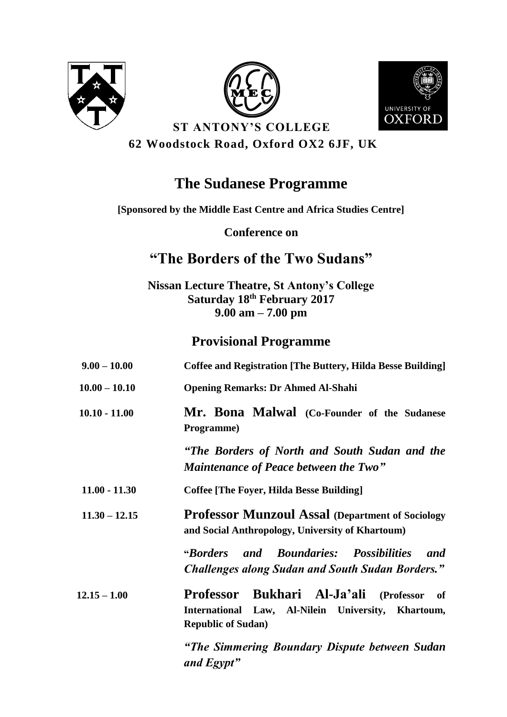





**ST ANTONY'S COLLEGE 62 Woodstock Road, Oxford OX2 6JF, UK**

# **The Sudanese Programme**

**[Sponsored by the Middle East Centre and Africa Studies Centre]**

**Conference on**

## **"The Borders of the Two Sudans"**

**Nissan Lecture Theatre, St Antony's College Saturday 18 th February 2017 9.00 am – 7.00 pm**

### **Provisional Programme**

| $9.00 - 10.00$  | <b>Coffee and Registration [The Buttery, Hilda Besse Building]</b>                                                              |
|-----------------|---------------------------------------------------------------------------------------------------------------------------------|
| $10.00 - 10.10$ | <b>Opening Remarks: Dr Ahmed Al-Shahi</b>                                                                                       |
| $10.10 - 11.00$ | Mr. Bona Malwal (Co-Founder of the Sudanese<br>Programme)                                                                       |
|                 | "The Borders of North and South Sudan and the<br><b>Maintenance of Peace between the Two"</b>                                   |
| $11.00 - 11.30$ | <b>Coffee [The Foyer, Hilda Besse Building]</b>                                                                                 |
| $11.30 - 12.15$ | <b>Professor Munzoul Assal (Department of Sociology)</b><br>and Social Anthropology, University of Khartoum)                    |
|                 | and Boundaries: Possibilities<br><i>"Borders"</i><br>and<br><b>Challenges along Sudan and South Sudan Borders."</b>             |
| $12.15 - 1.00$  | Professor Bukhari Al-Ja'ali (Professor<br>of<br>International Law, Al-Nilein University, Khartoum,<br><b>Republic of Sudan)</b> |
|                 | "The Simmering Boundary Dispute between Sudan<br>and Egypt"                                                                     |